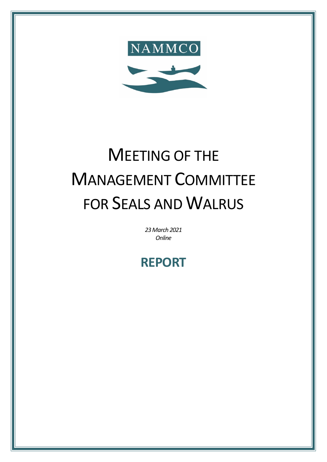

# MEETING OF THE MANAGEMENT COMMITTEE FOR SEALS AND WALRUS

*23March 2021 Online*

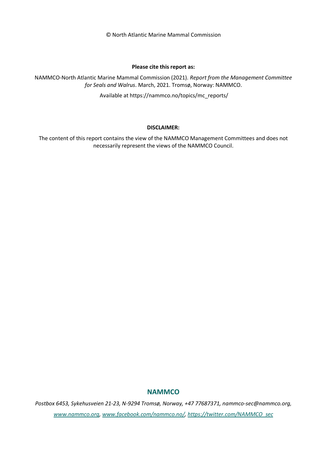© North Atlantic Marine Mammal Commission

#### **Please cite this report as:**

NAMMCO-North Atlantic Marine Mammal Commission (2021). *Report from the Management Committee for Seals and Walrus*. March, 2021. Tromsø, Norway: NAMMCO.

Available at https://nammco.no/topics/mc\_reports/

#### **DISCLAIMER:**

The content of this report contains the view of the NAMMCO Management Committees and does not necessarily represent the views of the NAMMCO Council.

## **NAMMCO**

*Postbox 6453, Sykehusveien 21-23, N-9294 Tromsø, Norway, +47 77687371, nammco-sec@nammco.org, [www.nammco.org,](https://nammco.sharepoint.com/Users/manatugend/Desktop/www.nammco.no) [www.facebook.com/nammco.no/,](http://www.facebook.com/nammco.no/) [https://twitter.com/NAMMCO\\_sec](https://twitter.com/NAMMCO_sec)*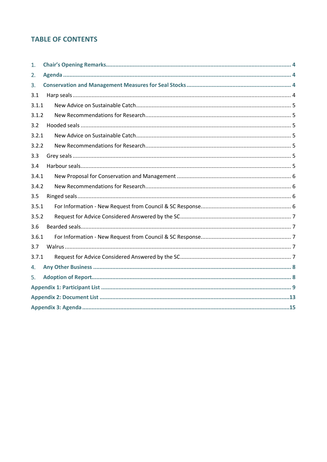# **TABLE OF CONTENTS**

| 1.    |  |  |
|-------|--|--|
| 2.    |  |  |
| 3.    |  |  |
| 3.1   |  |  |
| 3.1.1 |  |  |
| 3.1.2 |  |  |
| 3.2   |  |  |
| 3.2.1 |  |  |
| 3.2.2 |  |  |
| 3.3   |  |  |
| 3.4   |  |  |
| 3.4.1 |  |  |
| 3.4.2 |  |  |
| 3.5   |  |  |
| 3.5.1 |  |  |
| 3.5.2 |  |  |
| 3.6   |  |  |
| 3.6.1 |  |  |
| 3.7   |  |  |
| 3.7.1 |  |  |
| 4.    |  |  |
| 5.    |  |  |
|       |  |  |
|       |  |  |
|       |  |  |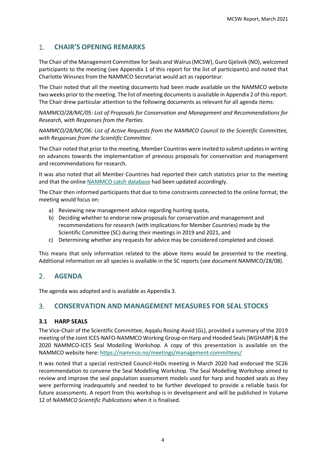## <span id="page-3-0"></span>1. **CHAIR'S OPENING REMARKS**

The Chair of the Management Committee for Seals and Walrus (MCSW), Guro Gjelsvik (NO), welcomed participants to the meeting (see [Appendix 1](#page-8-0) of this report for the list of participants) and noted that Charlotte Winsnes from the NAMMCO Secretariat would act as rapporteur.

The Chair noted that all the meeting documents had been made available on the NAMMCO website two weeks prior to the meeting. The list of meeting documents is available i[n Appendix 2](#page-12-0) of this report. The Chair drew particular attention to the following documents as relevant for all agenda items:

*NAMMCO/28/MC/05: List of Proposals for Conservation and Management and Recommendations for Research, with Responses from the Parties.*

*NAMMCO/28/MC/06: List of Active Requests from the NAMMCO Council to the Scientific Committee, with Responses from the Scientific Committee.* 

The Chair noted that prior to the meeting, Member Countries were invited to submit updates in writing on advances towards the implementation of previous proposals for conservation and management and recommendations for research.

It was also noted that all Member Countries had reported their catch statistics prior to the meeting and that the online [NAMMCO catch database](https://nammco.no/topics/catch-database/) had been updated accordingly.

The Chair then informed participants that due to time constraints connected to the online format, the meeting would focus on:

- a) Reviewing new management advice regarding hunting quota,
- b) Deciding whether to endorse new proposals for conservation and management and recommendations for research (with implications for Member Countries) made by the Scientific Committee (SC) during their meetings in 2019 and 2021, and
- c) Determining whether any requests for advice may be considered completed and closed.

This means that only information related to the above items would be presented to the meeting. Additional information on all species is available in the SC reports (see document NAMMCO/28/08).

## <span id="page-3-1"></span>2. **AGENDA**

The agenda was adopted and is available as [Appendix 3.](#page-14-0)

## <span id="page-3-2"></span>3. **CONSERVATION AND MANAGEMENT MEASURES FOR SEAL STOCKS**

## <span id="page-3-3"></span>**3.1 HARP SEALS**

The Vice-Chair of the Scientific Committee, Aqqalu Rosing-Asvid (GL), provided a summary of the 2019 meeting of the Joint ICES-NAFO-NAMMCO Working Group on Harp and Hooded Seals (WGHARP) & the 2020 NAMMCO-ICES Seal Modelling Workshop. A copy of this presentation is available on the NAMMCO website here[: https://nammco.no/meetings/management-committees/](https://nammco.no/meetings/management-committees/)

It was noted that a special restricted Council-HoDs meeting in March 2020 had endorsed the SC26 recommendation to convene the Seal Modelling Workshop. The Seal Modelling Workshop aimed to review and improve the seal population assessment models used for harp and hooded seals as they were performing inadequately and needed to be further developed to provide a reliable basis for future assessments. A report from this workshop is in development and will be published in Volume 12 of *NAMMCO Scientific Publications* when it is finalised.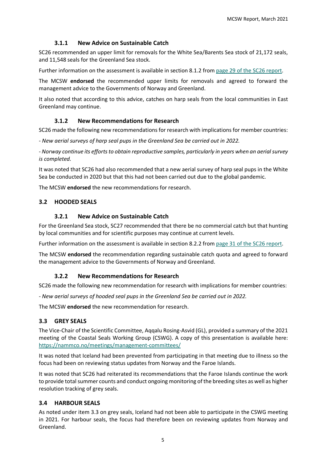## **3.1.1 New Advice on Sustainable Catch**

<span id="page-4-0"></span>SC26 recommended an upper limit for removals for the White Sea/Barents Sea stock of 21,172 seals, and 11,548 seals for the Greenland Sea stock.

Further information on the assessment is available in section 8.1.2 from [page 29 of the SC26 report.](https://nammco.no/wp-content/uploads/2017/01/final-report_sc26-2019_rev230120.pdf#page=35)

The MCSW **endorsed** the recommended upper limits for removals and agreed to forward the management advice to the Governments of Norway and Greenland.

It also noted that according to this advice, catches on harp seals from the local communities in East Greenland may continue.

## **3.1.2 New Recommendations for Research**

<span id="page-4-1"></span>SC26 made the following new recommendations for research with implications for member countries:

*- New aerial surveys of harp seal pups in the Greenland Sea be carried out in 2022.* 

*- Norway continue its efforts to obtain reproductive samples, particularly in years when an aerial survey is completed.*

It was noted that SC26 had also recommended that a new aerial survey of harp seal pups in the White Sea be conducted in 2020 but that this had not been carried out due to the global pandemic.

The MCSW **endorsed** the new recommendations for research.

## <span id="page-4-3"></span><span id="page-4-2"></span>**3.2 HOODED SEALS**

## **3.2.1 New Advice on Sustainable Catch**

For the Greenland Sea stock, SC27 recommended that there be no commercial catch but that hunting by local communities and for scientific purposes may continue at current levels.

Further information on the assessment is available in section 8.2.2 from [page 31 of the SC26 report.](https://nammco.no/wp-content/uploads/2017/01/final-report_sc26-2019_rev230120.pdf#page=38f)

The MCSW **endorsed** the recommendation regarding sustainable catch quota and agreed to forward the management advice to the Governments of Norway and Greenland.

## **3.2.2 New Recommendations for Research**

<span id="page-4-4"></span>SC26 made the following new recommendation for research with implications for member countries:

*- New aerial surveys of hooded seal pups in the Greenland Sea be carried out in 2022.* 

The MCSW **endorsed** the new recommendation for research.

## <span id="page-4-5"></span>**3.3 GREY SEALS**

The Vice-Chair of the Scientific Committee, Aqqalu Rosing-Asvid (GL), provided a summary of the 2021 meeting of the Coastal Seals Working Group (CSWG). A copy of this presentation is available here: <https://nammco.no/meetings/management-committees/>

It was noted that Iceland had been prevented from participating in that meeting due to illness so the focus had been on reviewing status updates from Norway and the Faroe Islands.

It was noted that SC26 had reiterated its recommendations that the Faroe Islands continue the work to provide total summer counts and conduct ongoing monitoring of the breeding sites as well as higher resolution tracking of grey seals.

## <span id="page-4-6"></span>**3.4 HARBOUR SEALS**

As noted under item 3.3 on grey seals, Iceland had not been able to participate in the CSWG meeting in 2021. For harbour seals, the focus had therefore been on reviewing updates from Norway and Greenland.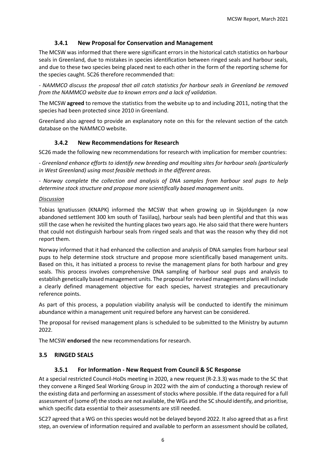## **3.4.1 New Proposal for Conservation and Management**

<span id="page-5-0"></span>The MCSW was informed that there were significant errors in the historical catch statistics on harbour seals in Greenland, due to mistakes in species identification between ringed seals and harbour seals, and due to these two species being placed next to each other in the form of the reporting scheme for the species caught. SC26 therefore recommended that:

*- NAMMCO discuss the proposal that all catch statistics for harbour seals in Greenland be removed from the NAMMCO website due to known errors and a lack of validation.*

The MCSW **agreed** to remove the statistics from the website up to and including 2011, noting that the species had been protected since 2010 in Greenland.

Greenland also agreed to provide an explanatory note on this for the relevant section of the catch database on the NAMMCO website.

## **3.4.2 New Recommendations for Research**

<span id="page-5-1"></span>SC26 made the following new recommendations for research with implication for member countries:

*- Greenland enhance efforts to identify new breeding and moulting sites for harbour seals (particularly in West Greenland) using most feasible methods in the different areas.* 

*- Norway complete the collection and analysis of DNA samples from harbour seal pups to help determine stock structure and propose more scientifically based management units.*

## *Discussion*

Tobias Ignatiussen (KNAPK) informed the MCSW that when growing up in Skjoldungen (a now abandoned settlement 300 km south of Tasiilaq), harbour seals had been plentiful and that this was still the case when he revisited the hunting places two years ago. He also said that there were hunters that could not distinguish harbour seals from ringed seals and that was the reason why they did not report them.

Norway informed that it had enhanced the collection and analysis of DNA samples from harbour seal pups to help determine stock structure and propose more scientifically based management units. Based on this, it has initiated a process to revise the management plans for both harbour and grey seals. This process involves comprehensive DNA sampling of harbour seal pups and analysis to establish genetically based management units. The proposal for revised management plans will include a clearly defined management objective for each species, harvest strategies and precautionary reference points.

As part of this process, a population viability analysis will be conducted to identify the minimum abundance within a management unit required before any harvest can be considered.

The proposal for revised management plans is scheduled to be submitted to the Ministry by autumn 2022.

The MCSW **endorsed** the new recommendations for research.

## <span id="page-5-3"></span><span id="page-5-2"></span>**3.5 RINGED SEALS**

## **3.5.1 For Information - New Request from Council & SC Response**

At a special restricted Council-HoDs meeting in 2020, a new request (R-2.3.3) was made to the SC that they convene a Ringed Seal Working Group in 2022 with the aim of conducting a thorough review of the existing data and performing an assessment of stocks where possible. If the data required for a full assessment of (some of) the stocks are not available, the WGs and the SC should identify, and prioritise, which specific data essential to their assessments are still needed.

SC27 agreed that a WG on this species would not be delayed beyond 2022. It also agreed that as a first step, an overview of information required and available to perform an assessment should be collated,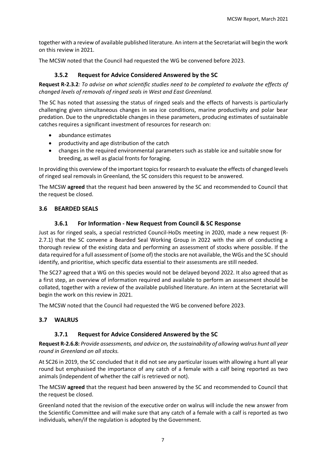together with a review of available published literature. An intern at the Secretariat will begin the work on this review in 2021.

<span id="page-6-0"></span>The MCSW noted that the Council had requested the WG be convened before 2023.

## **3.5.2 Request for Advice Considered Answered by the SC**

**Request R-2.3.2***: To advise on what scientific studies need to be completed to evaluate the effects of changed levels of removals of ringed seals in West and East Greenland.*

The SC has noted that assessing the status of ringed seals and the effects of harvests is particularly challenging given simultaneous changes in sea ice conditions, marine productivity and polar bear predation. Due to the unpredictable changes in these parameters, producing estimates of sustainable catches requires a significant investment of resources for research on:

- abundance estimates
- productivity and age distribution of the catch
- changes in the required environmental parameters such as stable ice and suitable snow for breeding, as well as glacial fronts for foraging.

In providing this overview of the important topics for research to evaluate the effects of changed levels of ringed seal removals in Greenland, the SC considers this request to be answered.

The MCSW **agreed** that the request had been answered by the SC and recommended to Council that the request be closed.

## <span id="page-6-2"></span><span id="page-6-1"></span>**3.6 BEARDED SEALS**

## **3.6.1 For Information - New Request from Council & SC Response**

Just as for ringed seals, a special restricted Council-HoDs meeting in 2020, made a new request (R-2.7.1) that the SC convene a Bearded Seal Working Group in 2022 with the aim of conducting a thorough review of the existing data and performing an assessment of stocks where possible. If the data required for a full assessment of (some of) the stocks are not available, the WGs and the SC should identify, and prioritise, which specific data essential to their assessments are still needed.

The SC27 agreed that a WG on this species would not be delayed beyond 2022. It also agreed that as a first step, an overview of information required and available to perform an assessment should be collated, together with a review of the available published literature. An intern at the Secretariat will begin the work on this review in 2021.

The MCSW noted that the Council had requested the WG be convened before 2023.

## <span id="page-6-4"></span><span id="page-6-3"></span>**3.7 WALRUS**

## **3.7.1 Request for Advice Considered Answered by the SC**

**Request R-2.6.8:** *Provide assessments, and advice on, the sustainability of allowing walrus hunt all year round in Greenland on all stocks.*

At SC26 in 2019, the SC concluded that it did not see any particular issues with allowing a hunt all year round but emphasised the importance of any catch of a female with a calf being reported as two animals (independent of whether the calf is retrieved or not).

The MCSW **agreed** that the request had been answered by the SC and recommended to Council that the request be closed.

Greenland noted that the revision of the executive order on walrus will include the new answer from the Scientific Committee and will make sure that any catch of a female with a calf is reported as two individuals, when/if the regulation is adopted by the Government.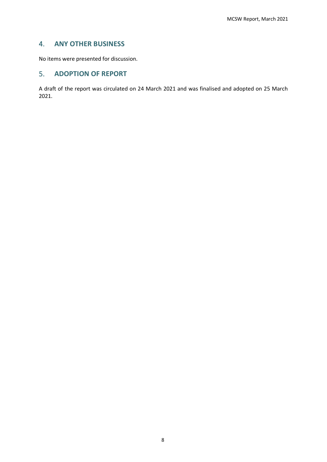## <span id="page-7-0"></span>4. **ANY OTHER BUSINESS**

No items were presented for discussion.

## <span id="page-7-1"></span>5. **ADOPTION OF REPORT**

A draft of the report was circulated on 24 March 2021 and was finalised and adopted on 25 March 2021.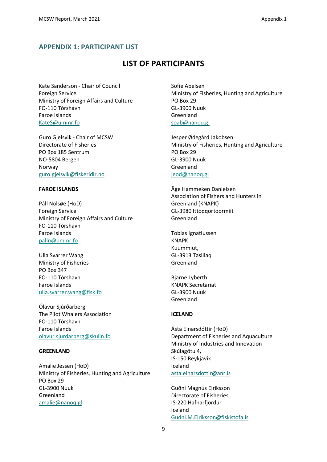## <span id="page-8-0"></span>**APPENDIX 1: PARTICIPANT LIST**

# **LIST OF PARTICIPANTS**

Kate Sanderson - Chair of Council Foreign Service Ministry of Foreign Affairs and Culture FO-110 Tórshavn Faroe Islands [KateS@ummr.fo](https://nammco.sharepoint.com/Sec/07-MCs/03-Committee%20Meetings/2021%20-%20NAMMCO%2028/Annual%20Meeting%2028/Reports/KateS@uvmr.fo)

Guro Gjelsvik - Chair of MCSW Directorate of Fisheries PO Box 185 Sentrum NO-5804 Bergen Norway [guro.gjelsvik@fiskeridir.no](https://nammco.sharepoint.com/Sec/07-MCs/03-Committee%20Meetings/2021%20-%20NAMMCO%2028/Annual%20Meeting%2028/Reports/guro.gjelsvik@fiskeridir.no)

#### **FAROE ISLANDS**

Páll Nolsøe (HoD) Foreign Service Ministry of Foreign Affairs and Culture FO-110 Tórshavn Faroe Islands palln@ummr.fo

Ulla Svarrer Wang Ministry of Fisheries PO Box 347 FO-110 Tórshavn Faroe Islands ulla.svarrer.wang@fisk.fo

Ólavur Sjúrðarberg The Pilot Whalers Association FO-110 Tórshavn Faroe Islands olavur.sjurdarberg@skulin.fo

#### **GREENLAND**

Amalie Jessen (HoD) Ministry of Fisheries, Hunting and Agriculture PO Box 29 GL-3900 Nuuk Greenland [amalie@nanoq.gl](mailto:Amalie@nanoq.gl)

Sofie Abelsen Ministry of Fisheries, Hunting and Agriculture PO Box 29 GL-3900 Nuuk Greenland [soab@nanoq.gl](https://nammco.sharepoint.com/Sec/07-MCs/03-Committee%20Meetings/2021%20-%20NAMMCO%2028/Annual%20Meeting%2028/Reports/soab@nanoq.gl)

Jesper Ødegård Jakobsen Ministry of Fisheries, Hunting and Agriculture PO Box 29 GL-3900 Nuuk Greenland jeod@nanoq.gl

Åge Hammeken Danielsen Association of Fishers and Hunters in Greenland (KNAPK) GL-3980 Ittoqqortoormiit Greenland

Tobias Ignatiussen KNAPK Kuummiut, GL-3913 Tasiilaq Greenland

Bjarne Lyberth KNAPK Secretariat GL-3900 Nuuk Greenland

#### **ICELAND**

Ásta Einarsdóttir (HoD) Department of Fisheries and Aquaculture Ministry of Industries and Innovation Skúlagötu 4, IS-150 Reykjavik Iceland [asta.einarsdottir@anr.is](https://nammco.sharepoint.com/Sec/07-MCs/03-Committee%20Meetings/2021%20-%20NAMMCO%2028/Annual%20Meeting%2028/Reports/asta.einarsdottir@anr.is)

Guðni Magnús Eiríksson Directorate of Fisheries IS-220 Hafnarfjordur Iceland [Gudni.M.Eiriksson@fiskistofa.is](mailto:Gudni.M.Eiriksson@fiskistofa.is)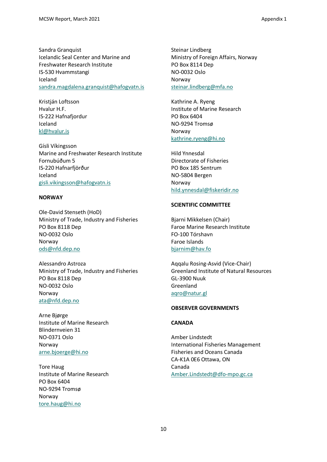Sandra Granquist Icelandic Seal Center and Marine and Freshwater Research Institute IS-530 Hvammstangi Iceland [sandra.magdalena.granquist@hafogvatn.is](https://nammco.sharepoint.com/Sec/07-MCs/03-Committee%20Meetings/2021%20-%20NAMMCO%2028/Annual%20Meeting%2028/Reports/sandra.magdalena.granquist@hafogvatn.is)

Kristján Loftsson Hvalur H.F. IS-222 Hafnafjordur Iceland [kl@hvalur.is](https://nammco.sharepoint.com/Sec/07-MCs/03-Committee%20Meetings/2021%20-%20NAMMCO%2028/Annual%20Meeting%2028/Reports/kl@hvalur.is)

Gísli Víkingsson Marine and Freshwater Research Institute Fornubúðum 5 IS-220 Hafnarfjörður Iceland [gisli.vikingsson@hafogvatn.is](mailto:Gisli.vikingsson@hafogvatn.is)

#### **NORWAY**

Ole-David Stenseth (HoD) Ministry of Trade, Industry and Fisheries PO Box 8118 Dep NO-0032 Oslo Norway [ods@nfd.dep.no](mailto:ods@nfd.dep.no)

Alessandro Astroza Ministry of Trade, Industry and Fisheries PO Box 8118 Dep NO-0032 Oslo Norway [ata@nfd.dep.no](https://nammco.sharepoint.com/Sec/07-MCs/03-Committee%20Meetings/2021%20-%20NAMMCO%2028/Annual%20Meeting%2028/Reports/ata@nfd.dep.no)

Arne Bjørge Institute of Marine Research Blindernveien 31 NO-0371 Oslo Norway [arne.bjoerge@hi.no](mailto:arne.bjoerge@hi.no)

Tore Haug Institute of Marine Research PO Box 6404 NO-9294 Tromsø Norway [tore.haug@hi.no](mailto:tore.haug@hi.no)

Steinar Lindberg Ministry of Foreign Affairs, Norway PO Box 8114 Dep NO-0032 Oslo Norway [steinar.lindberg@mfa.no](https://nammco.sharepoint.com/Sec/07-MCs/03-Committee%20Meetings/2021%20-%20NAMMCO%2028/Annual%20Meeting%2028/Reports/steinar.lindberg@mfa.no) 

Kathrine A. Ryeng Institute of Marine Research PO Box 6404 NO-9294 Tromsø Norway [kathrine.ryeng@hi.no](mailto:kathrine.ryeng@hi.no)

Hild Ynnesdal Directorate of Fisheries PO Box 185 Sentrum NO-5804 Bergen Norway [hild.ynnesdal@fiskeridir.no](https://nammco.sharepoint.com/Sec/07-MCs/03-Committee%20Meetings/2021%20-%20NAMMCO%2028/18-February%20meeting/Report/hild.ynnesdal@fiskeridir.no)

#### **SCIENTIFIC COMMITTEE**

Bjarni Mikkelsen (Chair) Faroe Marine Research Institute FO-100 Tórshavn Faroe Islands bjarnim@hav.fo

Aqqalu Rosing-Asvid (Vice-Chair) Greenland Institute of Natural Resources GL-3900 Nuuk Greenland [aqro@natur.gl](https://nammco.sharepoint.com/Sec/07-MCs/03-Committee%20Meetings/2021%20-%20NAMMCO%2028/Annual%20Meeting%2028/Reports/aqro@natur.gl)

#### **OBSERVER GOVERNMENTS**

#### **CANADA**

Amber Lindstedt International Fisheries Management Fisheries and Oceans Canada CA-K1A 0E6 Ottawa, ON Canada [Amber.Lindstedt@dfo-mpo.gc.ca](https://nammco.sharepoint.com/Sec/07-MCs/03-Committee%20Meetings/2021%20-%20NAMMCO%2028/Annual%20Meeting%2028/Reports/Amber.Lindstedt@dfo-mpo.gc.ca)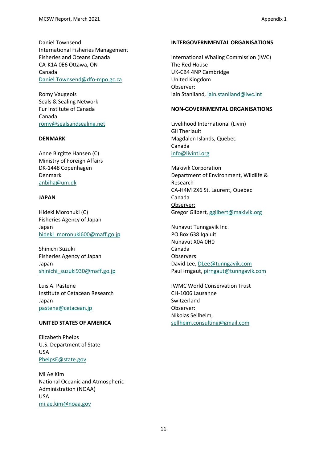Daniel Townsend International Fisheries Management Fisheries and Oceans Canada CA-K1A 0E6 Ottawa, ON Canada [Daniel.Townsend@dfo-mpo.gc.ca](https://nammco.sharepoint.com/Sec/07-MCs/03-Committee%20Meetings/2021%20-%20NAMMCO%2028/Annual%20Meeting%2028/Reports/Daniel.Townsend@dfo-mpo.gc.ca)

Romy Vaugeois Seals & Sealing Network Fur Institute of Canada Canada [romy@sealsandsealing.net](mailto:romy@sealsandsealing.net)

## **DENMARK**

Anne Birgitte Hansen (C) Ministry of Foreign Affairs DK-1448 Copenhagen Denmark [anbiha@um.dk](mailto:anbiha@um.dk)

## **JAPAN**

Hideki Moronuki (C) Fisheries Agency of Japan Japan [hideki\\_moronuki600@maff.go.jp](mailto:hideki_moronuki600@maff.go.jp)

Shinichi Suzuki Fisheries Agency of Japan Japan [shinichi\\_suzuki930@maff.go.jp](https://nammco.sharepoint.com/Sec/07-MCs/03-Committee%20Meetings/2021%20-%20NAMMCO%2028/Annual%20Meeting%2028/Reports/shinichi_suzuki930@maff.go.jp)

Luis A. Pastene Institute of Cetacean Research Japan [pastene@cetacean.jp](mailto:pastene@cetacean.jp)

## **UNITED STATES OF AMERICA**

Elizabeth Phelps U.S. Department of State USA [PhelpsE@state.gov](https://nammco.sharepoint.com/Sec/07-MCs/03-Committee%20Meetings/2021%20-%20NAMMCO%2028/Annual%20Meeting%2028/Reports/PhelpsE@state.gov)

Mi Ae Kim National Oceanic and Atmospheric Administration (NOAA) USA [mi.ae.kim@noaa.gov](https://nammco.sharepoint.com/Sec/07-MCs/03-Committee%20Meetings/2021%20-%20NAMMCO%2028/Annual%20Meeting%2028/Reports/mi.ae.kim@noaa.gov)

#### **INTERGOVERNMENTAL ORGANISATIONS**

International Whaling Commission (IWC) The Red House UK-CB4 4NP Cambridge United Kingdom Observer: Iain Staniland, [iain.staniland@iwc.int](https://nammco.sharepoint.com/Sec/07-MCs/03-Committee%20Meetings/2021%20-%20NAMMCO%2028/Annual%20Meeting%2028/Reports/iain.staniland@iwc.int) 

## **NON-GOVERNMENTAL ORGANISATIONS**

Livelihood International (Livin) Gil Theriault Magdalen Islands, Quebec Canada [info@livintl.org](https://nammco.sharepoint.com/Sec/07-MCs/03-Committee%20Meetings/2021%20-%20NAMMCO%2028/Annual%20Meeting%2028/Reports/info@livintl.org)

Makivik Corporation Department of Environment, Wildlife & Research CA-H4M 2X6 St. Laurent, Quebec Canada Observer: Gregor Gilbert, [ggilbert@makivik.org](https://nammco.sharepoint.com/Sec/07-MCs/03-Committee%20Meetings/2021%20-%20NAMMCO%2028/Annual%20Meeting%2028/Reports/ggilbert@makivik.org)

Nunavut Tunngavik Inc. PO Box 638 Igaluit Nunavut X0A 0H0 Canada Observers: David Lee, [DLee@tunngavik.com](https://nammco.sharepoint.com/Sec/07-MCs/03-Committee%20Meetings/2021%20-%20NAMMCO%2028/Annual%20Meeting%2028/Reports/DLee@tunngavik.com) Paul Irngaut, [pirngaut@tunngavik.com](https://nammco.sharepoint.com/Sec/07-MCs/03-Committee%20Meetings/2021%20-%20NAMMCO%2028/Annual%20Meeting%2028/Reports/pirngaut@tunngavik.com)

IWMC World Conservation Trust CH-1006 Lausanne Switzerland Observer: Nikolas Sellheim, [sellheim.consulting@gmail.com](https://nammco.sharepoint.com/Sec/07-MCs/03-Committee%20Meetings/2021%20-%20NAMMCO%2028/Annual%20Meeting%2028/Reports/sellheim.consulting@gmail.com)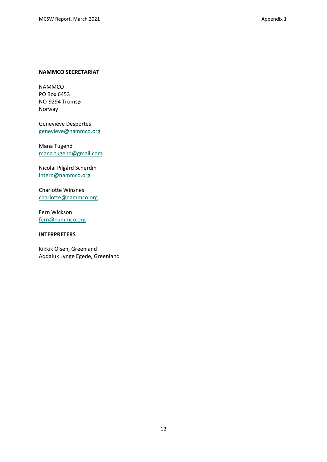#### **NAMMCO SECRETARIAT**

NAMMCO PO Box 6453 NO-9294 Tromsø Norway

Geneviève Desportes [genevieve@nammco.org](https://nammco.sharepoint.com/Sec/07-MCs/03-Committee%20Meetings/2021%20-%20NAMMCO%2028/18-February%20meeting/Report/genevieve@nammco.org)

Mana Tugend [mana.tugend@gmail.com](https://nammco.sharepoint.com/Sec/07-MCs/03-Committee%20Meetings/2021%20-%20NAMMCO%2028/Annual%20Meeting%2028/Reports/mana.tugend@gmail.com)

Nicolai Pilgård Scherdin [intern@nammco.org](https://nammco.sharepoint.com/Sec/07-MCs/03-Committee%20Meetings/2021%20-%20NAMMCO%2028/Annual%20Meeting%2028/Reports/intern@nammco.org)

Charlotte Winsnes [charlotte@nammco.org](https://nammco.sharepoint.com/Sec/07-MCs/03-Committee%20Meetings/2021%20-%20NAMMCO%2028/Annual%20Meeting%2028/Reports/charlotte@nammco.org)

Fern Wickson [fern@nammco.org](https://nammco.sharepoint.com/Sec/07-MCs/03-Committee%20Meetings/2021%20-%20NAMMCO%2028/Annual%20Meeting%2028/Reports/fern@nammco.org)

#### **INTERPRETERS**

Kikkik Olsen, Greenland Aqqaluk Lynge Egede, Greenland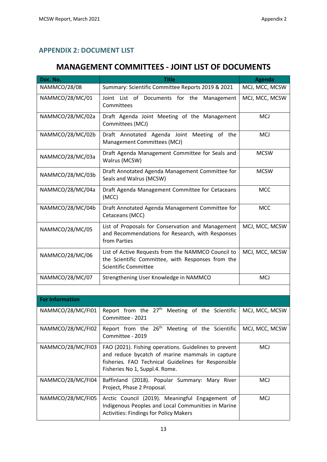# <span id="page-12-0"></span>**APPENDIX 2: DOCUMENT LIST**

# **MANAGEMENT COMMITTEES - JOINT LIST OF DOCUMENTS**

| Doc. No.               | <b>Title</b>                                                                                                                                                                                      | <b>Agenda</b>  |
|------------------------|---------------------------------------------------------------------------------------------------------------------------------------------------------------------------------------------------|----------------|
| <b>NAMMCO/28/08</b>    | Summary: Scientific Committee Reports 2019 & 2021                                                                                                                                                 | MCJ, MCC, MCSW |
| NAMMCO/28/MC/01        | Joint List of Documents for the Management<br>Committees                                                                                                                                          | MCJ, MCC, MCSW |
| NAMMCO/28/MC/02a       | Draft Agenda Joint Meeting of the Management<br>Committees (MCJ)                                                                                                                                  | <b>MCJ</b>     |
| NAMMCO/28/MC/02b       | Draft Annotated Agenda Joint Meeting of the<br>Management Committees (MCJ)                                                                                                                        | <b>MCJ</b>     |
| NAMMCO/28/MC/03a       | Draft Agenda Management Committee for Seals and<br>Walrus (MCSW)                                                                                                                                  | <b>MCSW</b>    |
| NAMMCO/28/MC/03b       | Draft Annotated Agenda Management Committee for<br>Seals and Walrus (MCSW)                                                                                                                        | <b>MCSW</b>    |
| NAMMCO/28/MC/04a       | Draft Agenda Management Committee for Cetaceans<br>(MCC)                                                                                                                                          | <b>MCC</b>     |
| NAMMCO/28/MC/04b       | Draft Annotated Agenda Management Committee for<br>Cetaceans (MCC)                                                                                                                                | <b>MCC</b>     |
| NAMMCO/28/MC/05        | List of Proposals for Conservation and Management<br>and Recommendations for Research, with Responses<br>from Parties                                                                             | MCJ, MCC, MCSW |
| NAMMCO/28/MC/06        | List of Active Requests from the NAMMCO Council to<br>the Scientific Committee, with Responses from the<br><b>Scientific Committee</b>                                                            | MCJ, MCC, MCSW |
| NAMMCO/28/MC/07        | Strengthening User Knowledge in NAMMCO                                                                                                                                                            | <b>MCJ</b>     |
|                        |                                                                                                                                                                                                   |                |
| <b>For Information</b> |                                                                                                                                                                                                   |                |
| NAMMCO/28/MC/FI01      | Report from the 27 <sup>th</sup> Meeting of the Scientific<br>Committee - 2021                                                                                                                    | MCJ, MCC, MCSW |
| NAMMCO/28/MC/FI02      | Report from the 26 <sup>th</sup> Meeting of the Scientific<br>Committee - 2019                                                                                                                    | MCJ, MCC, MCSW |
| NAMMCO/28/MC/FI03      | FAO (2021). Fishing operations. Guidelines to prevent<br>and reduce bycatch of marine mammals in capture<br>fisheries. FAO Technical Guidelines for Responsible<br>Fisheries No 1, Suppl.4. Rome. | <b>MCJ</b>     |
| NAMMCO/28/MC/FI04      | Baffinland (2018). Popular Summary: Mary River<br>Project, Phase 2 Proposal.                                                                                                                      | <b>MCJ</b>     |
| NAMMCO/28/MC/FI05      | Arctic Council (2019). Meaningful Engagement of<br>Indigenous Peoples and Local Communities in Marine<br><b>Activities: Findings for Policy Makers</b>                                            | <b>MCJ</b>     |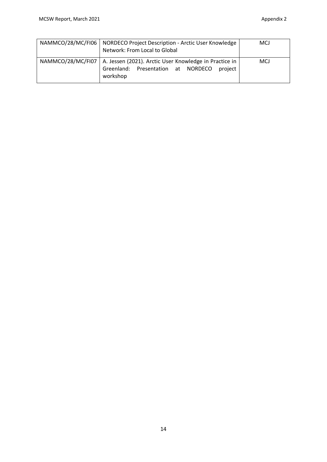| NAMMCO/28/MC/FI06   NORDECO Project Description - Arctic User Knowledge<br>Network: From Local to Global                                | <b>MCJ</b> |
|-----------------------------------------------------------------------------------------------------------------------------------------|------------|
| NAMMCO/28/MC/FI07   A. Jessen (2021). Arctic User Knowledge in Practice in<br>Greenland: Presentation at NORDECO<br>project<br>workshop | <b>MCJ</b> |